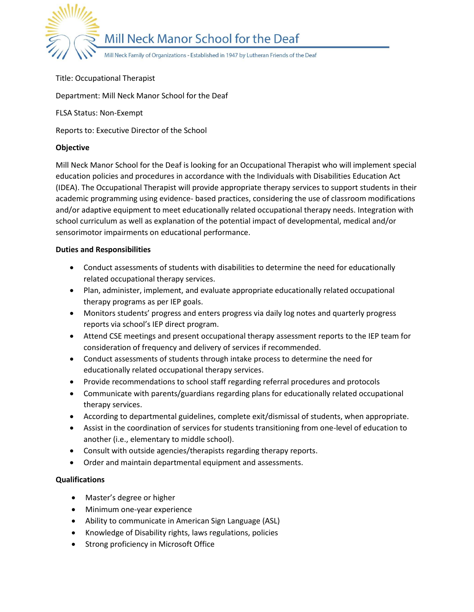

#### Title: Occupational Therapist

Department: Mill Neck Manor School for the Deaf

FLSA Status: Non-Exempt

Reports to: Executive Director of the School

### **Objective**

Mill Neck Manor School for the Deaf is looking for an Occupational Therapist who will implement special education policies and procedures in accordance with the Individuals with Disabilities Education Act (IDEA). The Occupational Therapist will provide appropriate therapy services to support students in their academic programming using evidence- based practices, considering the use of classroom modifications and/or adaptive equipment to meet educationally related occupational therapy needs. Integration with school curriculum as well as explanation of the potential impact of developmental, medical and/or sensorimotor impairments on educational performance.

#### **Duties and Responsibilities**

- Conduct assessments of students with disabilities to determine the need for educationally related occupational therapy services.
- Plan, administer, implement, and evaluate appropriate educationally related occupational therapy programs as per IEP goals.
- Monitors students' progress and enters progress via daily log notes and quarterly progress reports via school's IEP direct program.
- Attend CSE meetings and present occupational therapy assessment reports to the IEP team for consideration of frequency and delivery of services if recommended.
- Conduct assessments of students through intake process to determine the need for educationally related occupational therapy services.
- Provide recommendations to school staff regarding referral procedures and protocols
- Communicate with parents/guardians regarding plans for educationally related occupational therapy services.
- According to departmental guidelines, complete exit/dismissal of students, when appropriate.
- Assist in the coordination of services for students transitioning from one-level of education to another (i.e., elementary to middle school).
- Consult with outside agencies/therapists regarding therapy reports.
- Order and maintain departmental equipment and assessments.

## **Qualifications**

- Master's degree or higher
- Minimum one-year experience
- Ability to communicate in American Sign Language (ASL)
- Knowledge of Disability rights, laws regulations, policies
- **•** Strong proficiency in Microsoft Office